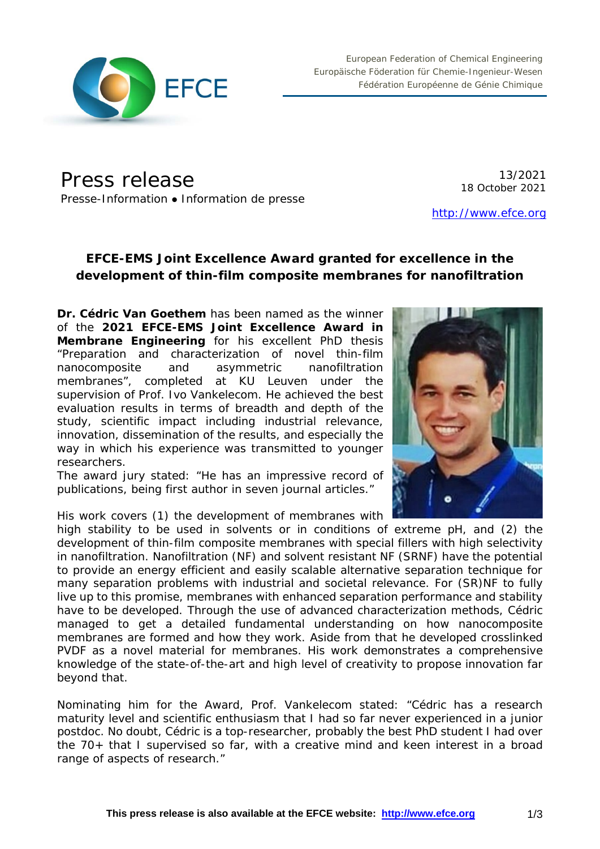

European Federation of Chemical Engineering Europäische Föderation für Chemie-Ingenieur-Wesen Fédération Européenne de Génie Chimique

Press release Presse-Information • Information de presse

13/2021 18 October 2021

[http://www.efce.org](http://www.efce.org/)

# **EFCE-EMS Joint Excellence Award granted for excellence in the development of thin-film composite membranes for nanofiltration**

**Dr. Cédric Van Goethem** has been named as the winner of the **2021 EFCE-EMS Joint Excellence Award in Membrane Engineering** for his excellent PhD thesis "*Preparation and characterization of novel thin-film nanocomposite and asymmetric nanofiltration membranes*", completed at KU Leuven under the supervision of Prof. Ivo Vankelecom. He achieved the best evaluation results in terms of breadth and depth of the study, scientific impact including industrial relevance, innovation, dissemination of the results, and especially the way in which his experience was transmitted to younger researchers.

The award jury stated: "He has an impressive record of publications, being first author in seven journal articles."

His work covers (1) the development of membranes with

high stability to be used in solvents or in conditions of extreme pH, and (2) the development of thin-film composite membranes with special fillers with high selectivity in nanofiltration. Nanofiltration (NF) and solvent resistant NF (SRNF) have the potential to provide an energy efficient and easily scalable alternative separation technique for many separation problems with industrial and societal relevance. For (SR)NF to fully live up to this promise, membranes with enhanced separation performance and stability have to be developed. Through the use of advanced characterization methods, Cédric managed to get a detailed fundamental understanding on how nanocomposite membranes are formed and how they work. Aside from that he developed crosslinked PVDF as a novel material for membranes. His work demonstrates a comprehensive knowledge of the state-of-the-art and high level of creativity to propose innovation far beyond that.

Nominating him for the Award, Prof. Vankelecom stated: "Cédric has a research maturity level and scientific enthusiasm that I had so far never experienced in a junior postdoc. No doubt, Cédric is a top-researcher, probably the best PhD student I had over the 70+ that I supervised so far, with a creative mind and keen interest in a broad range of aspects of research."

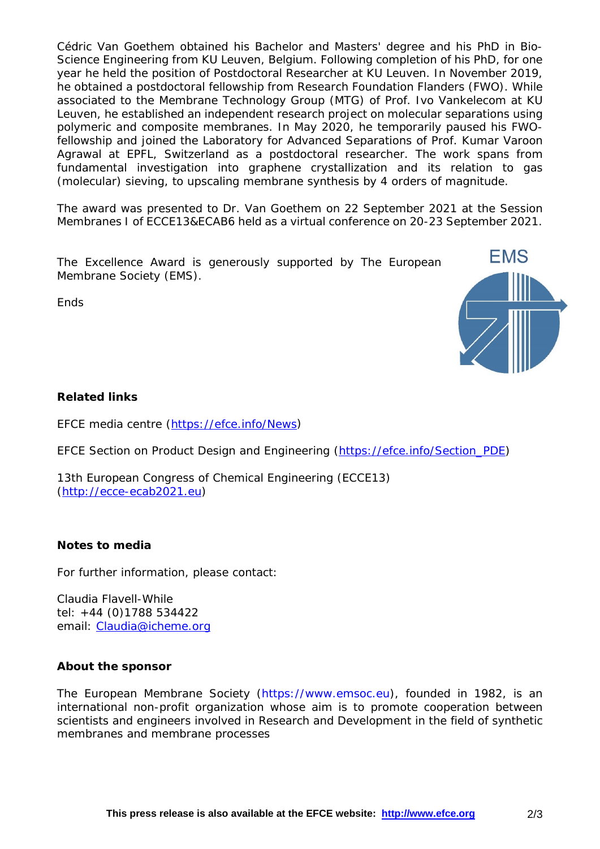Cédric Van Goethem obtained his Bachelor and Masters' degree and his PhD in Bio-Science Engineering from KU Leuven, Belgium. Following completion of his PhD, for one year he held the position of Postdoctoral Researcher at KU Leuven. In November 2019, he obtained a postdoctoral fellowship from Research Foundation Flanders (FWO). While associated to the Membrane Technology Group (MTG) of Prof. Ivo Vankelecom at KU Leuven, he established an independent research project on molecular separations using polymeric and composite membranes. In May 2020, he temporarily paused his FWOfellowship and joined the Laboratory for Advanced Separations of Prof. Kumar Varoon Agrawal at EPFL, Switzerland as a postdoctoral researcher. The work spans from fundamental investigation into graphene crystallization and its relation to gas (molecular) sieving, to upscaling membrane synthesis by 4 orders of magnitude.

The award was presented to Dr. Van Goethem on 22 September 2021 at the Session *Membranes I* of ECCE13&ECAB6 held as a virtual conference on 20-23 September 2021.

The Excellence Award is generously supported by The European Membrane Society (EMS).

**Fnds** 



### **Related links**

EFCE media centre [\(https://efce.info/News\)](https://efce.info/News)

EFCE Section on Product Design and Engineering [\(https://efce.info/Section\\_PDE\)](https://efce.info/Section_PDE)

13th European Congress of Chemical Engineering (ECCE13) [\(http://ecce-ecab2021.eu\)](http://ecce-ecab2021.eu/)

#### **Notes to media**

For further information, please contact:

Claudia Flavell-While tel: +44 (0)1788 534422 email: [Claudia@icheme.org](mailto:Claudia@icheme.org)

#### **About the sponsor**

The European Membrane Society (https://www.emsoc.eu), founded in 1982, is an international non-profit organization whose aim is to promote cooperation between scientists and engineers involved in Research and Development in the field of synthetic membranes and membrane processes